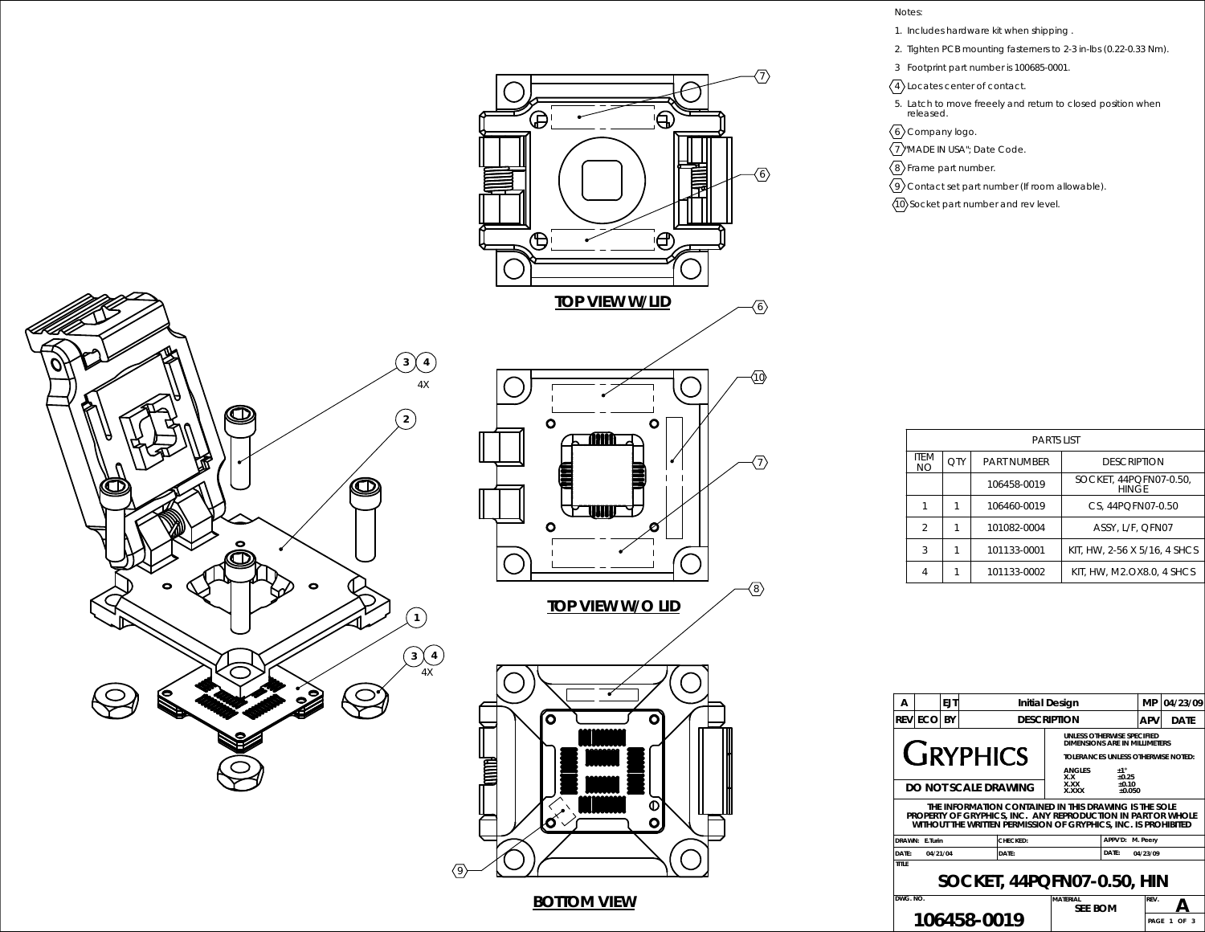

## Notes:

- 1. Includes hardware kit when shipping .
- 2. Tighten PCB mounting fasterners to 2-3 in-lbs (0.22-0.33 Nm).
- 3 Footprint part number is 100685-0001.
- 4 Locates center of contact.
- 5. Latch to move freeely and return to closed position when released.
- $\langle 6 \rangle$ Company logo.
- 7 "MADE IN USA"; Date Code.
- $\langle 8 \rangle$ Frame part number.

10

7

8

6

7

6

- $\sqrt{9}$  Contact set part number (If room allowable).
- $\langle 10 \rangle$  Socket part number and rev level.

| <b>PARTS LIST</b>  |     |                    |                                        |  |
|--------------------|-----|--------------------|----------------------------------------|--|
| <b>ITFM</b><br>NO. | OTY | <b>PART NUMBER</b> | <b>DESCRIPTION</b>                     |  |
|                    |     | 106458-0019        | SOCKET, 44PQFN07-0.50.<br><b>HINGF</b> |  |
|                    |     | 106460-0019        | CS. 44PQFN07-0.50                      |  |
| $\mathcal{P}$      |     | 101082-0004        | ASSY, L/F, QFN07                       |  |
| 3                  |     | 101133-0001        | KIT, HW, 2-56 X 5/16, 4 SHCS           |  |
| 4                  |     | 101133-0002        | KIT. HW. M2.OX8.0. 4 SHCS              |  |

| А                                                                          |                                                                                                                                                                                         | <b>EJT</b> |                      | Initial Design     |                                                                                                                             |                           | МP     | 04/23/09    |
|----------------------------------------------------------------------------|-----------------------------------------------------------------------------------------------------------------------------------------------------------------------------------------|------------|----------------------|--------------------|-----------------------------------------------------------------------------------------------------------------------------|---------------------------|--------|-------------|
|                                                                            | <b>REVIECOI</b>                                                                                                                                                                         | BY         |                      | <b>DESCRIPTION</b> |                                                                                                                             |                           | APV    | <b>DATE</b> |
|                                                                            |                                                                                                                                                                                         |            | <b>GRYPHICS</b>      |                    | UNLESS OTHERWISE SPECIFIED<br>DIMENSIONS ARE IN MILLIMETERS<br>TOI FRANCES UNI ESS OTHERWISE NOTED:<br><b>ANGLES</b><br>X.X | ±1°<br>$+0.25$<br>$+0.10$ |        |             |
|                                                                            |                                                                                                                                                                                         |            | DO NOT SCALE DRAWING |                    | <b>X.XX</b><br><b>XXXX</b>                                                                                                  | $+0.050$                  |        |             |
|                                                                            | THE INFORMATION CONTAINED IN THIS DRAWING IS THE SOLE<br>PROPERTY OF GRYPHICS. INC. ANY REPRODUCTION IN PART OR WHOLE<br>WITHOUT THE WRITTEN PERMISSION OF GRYPHICS, INC. IS PROHIBITED |            |                      |                    |                                                                                                                             |                           |        |             |
|                                                                            | DRAWN: F.Turin                                                                                                                                                                          |            |                      | CHECKED:           |                                                                                                                             | M. Peery                  |        |             |
| DATE:                                                                      | 04/21/04                                                                                                                                                                                |            |                      | DATE:              |                                                                                                                             | 04/23/09                  |        |             |
| TITI F<br>SOCKET, 44PQFN07-0.50, HIN<br>DWG NO.<br><b>MATFRIAL</b><br>RFV. |                                                                                                                                                                                         |            |                      |                    |                                                                                                                             |                           |        |             |
|                                                                            |                                                                                                                                                                                         |            | 106458-0019          |                    | <b>SEE BOM</b>                                                                                                              |                           | PAGE 1 | OF          |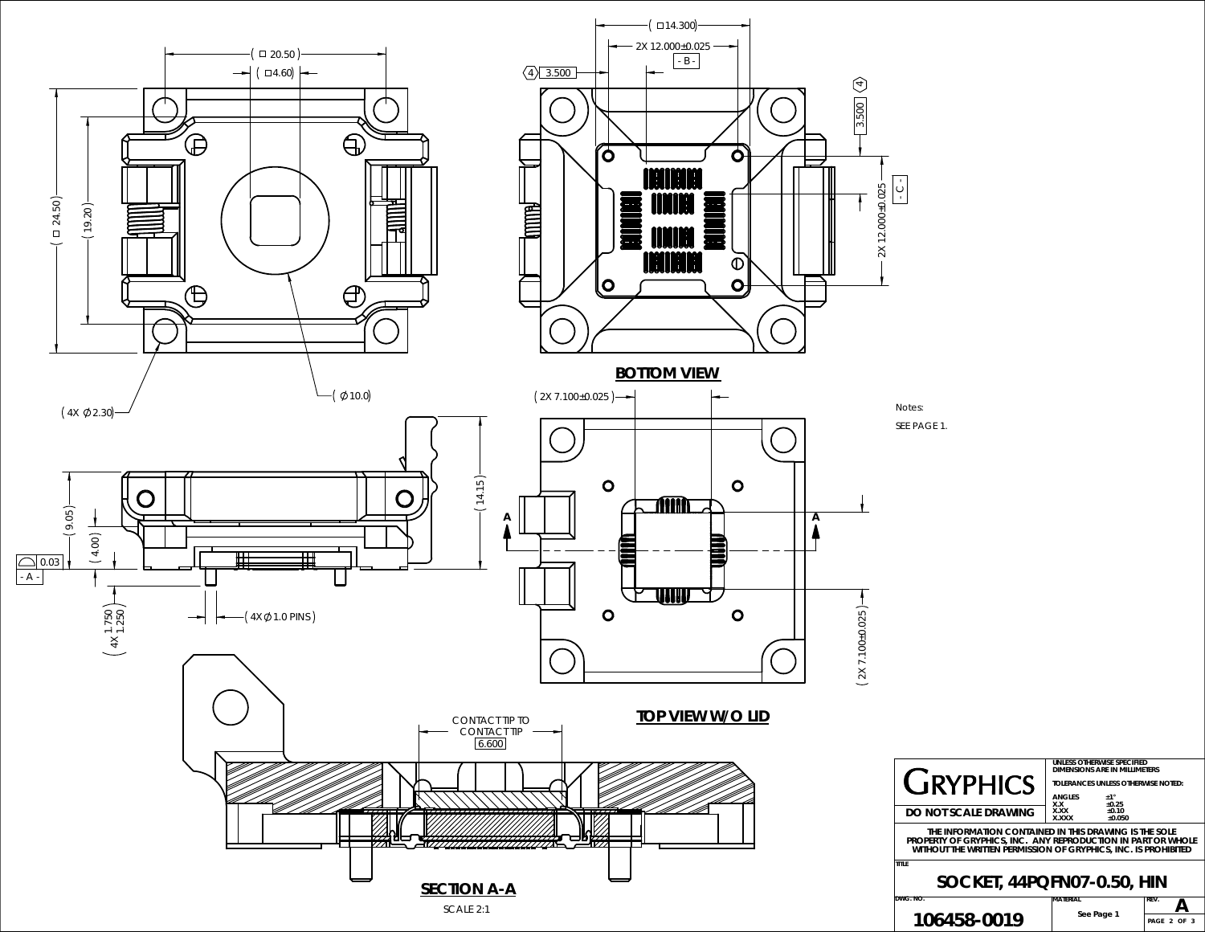

|                                                                                                                                                                                         | DIMENSIONS ARE IN MILLIMETERS             |                     |      |  |  |
|-----------------------------------------------------------------------------------------------------------------------------------------------------------------------------------------|-------------------------------------------|---------------------|------|--|--|
| <b>GRYPHICS</b>                                                                                                                                                                         | <b>TOLERANCES UNLESS OTHERWISE NOTED:</b> |                     |      |  |  |
|                                                                                                                                                                                         | <b>ANGLES</b><br>X.X                      | $+1$ °<br>±0.25     |      |  |  |
| DO NOT SCALE DRAWING                                                                                                                                                                    | <b>XXX</b><br><b>XXXX</b>                 | $+0.10$<br>$+0.050$ |      |  |  |
| THE INFORMATION CONTAINED IN THIS DRAWING IS THE SOLE<br>property of gryphics. Inc. Any reproduction in part or whole<br>WITHOUT THE WRITTEN PERMISSION OF GRYPHICS. INC. IS PROHIBITED |                                           |                     |      |  |  |
| SOCKET, 44PQFN07-0.50, HIN                                                                                                                                                              |                                           |                     |      |  |  |
| 3. NO.                                                                                                                                                                                  | MATERIAL                                  |                     | REV. |  |  |
| 106458-0019                                                                                                                                                                             | See Page 1                                |                     | PAGE |  |  |

**UNLESS OTHERWISE SPECIFIED**